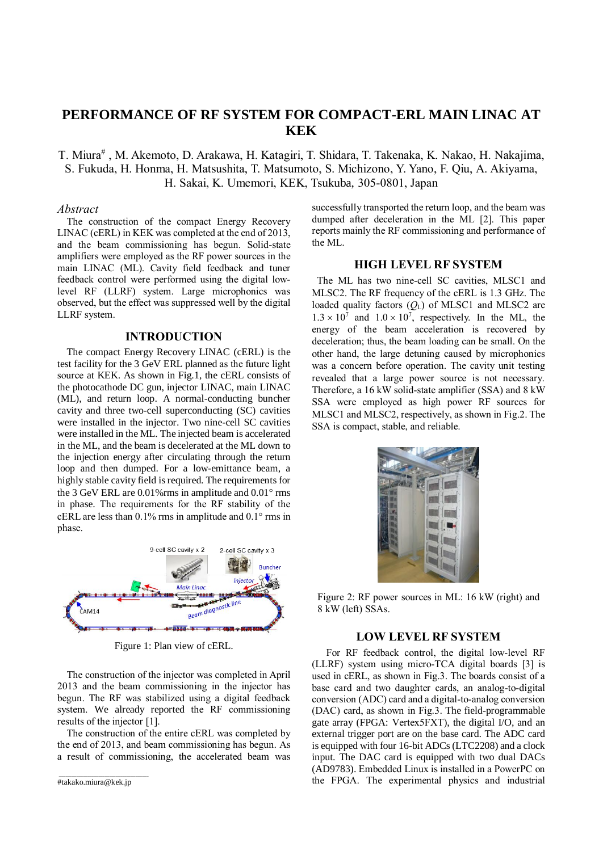# **PERFORMANCE OF RF SYSTEM FOR COMPACT-ERL MAIN LINAC AT KEK**

T. Miura<sup>#</sup>, M. Akemoto, D. Arakawa, H. Katagiri, T. Shidara, T. Takenaka, K. Nakao, H. Nakajima, S. Fukuda, H. Honma, H. Matsushita, T. Matsumoto, S. Michizono, Y. Yano, F. Qiu, A. Akiyama, H. Sakai, K. Umemori, KEK, Tsukuba, 305-0801, Japan

#### *Abstract*

The construction of the compact Energy Recovery LINAC (cERL) in KEK was completed at the end of 2013, and the beam commissioning has begun. Solid-state amplifiers were employed as the RF power sources in the main LINAC (ML). Cavity field feedback and tuner feedback control were performed using the digital lowlevel RF (LLRF) system. Large microphonics was observed, but the effect was suppressed well by the digital LLRF system.

## **INTRODUCTION**

The compact Energy Recovery LINAC (cERL) is the test facility for the 3 GeV ERL planned as the future light source at KEK. As shown in Fig.1, the cERL consists of the photocathode DC gun, injector LINAC, main LINAC (ML), and return loop. A normal-conducting buncher cavity and three two-cell superconducting (SC) cavities were installed in the injector. Two nine-cell SC cavities were installed in the ML. The injected beam is accelerated in the ML, and the beam is decelerated at the ML down to the injection energy after circulating through the return loop and then dumped. For a low-emittance beam, a highly stable cavity field is required. The requirements for the 3 GeV ERL are  $0.01\%$ rms in amplitude and  $0.01\degree$ rms in phase. The requirements for the RF stability of the cERL are less than  $0.1\%$  rms in amplitude and  $0.1\degree$  rms in phase.



Figure 1: Plan view of cERL.

The construction of the injector was completed in April 2013 and the beam commissioning in the injector has begun. The RF was stabilized using a digital feedback system. We already reported the RF commissioning results of the injector [1].

The construction of the entire cERL was completed by the end of 2013, and beam commissioning has begun. As a result of commissioning, the accelerated beam was

successfully transported the return loop, and the beam was dumped after deceleration in the ML [2]. This paper reports mainly the RF commissioning and performance of the ML.

# **HIGH LEVEL RF SYSTEM**

The ML has two nine-cell SC cavities, MLSC1 and MLSC2. The RF frequency of the cERL is 1.3 GHz. The loaded quality factors  $(O<sub>L</sub>)$  of MLSC1 and MLSC2 are  $1.3 \times 10^7$  and  $1.0 \times 10^7$ , respectively. In the ML, the energy of the beam acceleration is recovered by deceleration; thus, the beam loading can be small. On the other hand, the large detuning caused by microphonics was a concern before operation. The cavity unit testing revealed that a large power source is not necessary. Therefore, a 16 kW solid-state amplifier (SSA) and 8 kW SSA were employed as high power RF sources for MLSC1 and MLSC2, respectively, as shown in Fig.2. The SSA is compact, stable, and reliable.

Figure 2: RF power sources in ML: 16 kW (right) and 8 kW (left) SSAs.

## **LOW LEVEL RF SYSTEM**

For RF feedback control, the digital low-level RF (LLRF) system using micro-TCA digital boards [3] is used in cERL, as shown in Fig.3. The boards consist of a base card and two daughter cards, an analog-to-digital conversion (ADC) card and a digital-to-analog conversion (DAC) card, as shown in Fig.3. The field-programmable gate array (FPGA: Vertex5FXT), the digital I/O, and an external trigger port are on the base card. The ADC card is equipped with four 16-bit ADCs (LTC2208) and a clock input. The DAC card is equipped with two dual DACs (AD9783). Embedded Linux is installed in a PowerPC on the FPGA. The experimental physics and industrial

\_\_\_\_\_\_\_\_\_\_\_\_\_\_\_\_\_\_\_\_\_\_\_\_\_\_\_\_\_\_\_\_\_\_\_\_\_\_\_\_\_ #takako.miura@kek.jp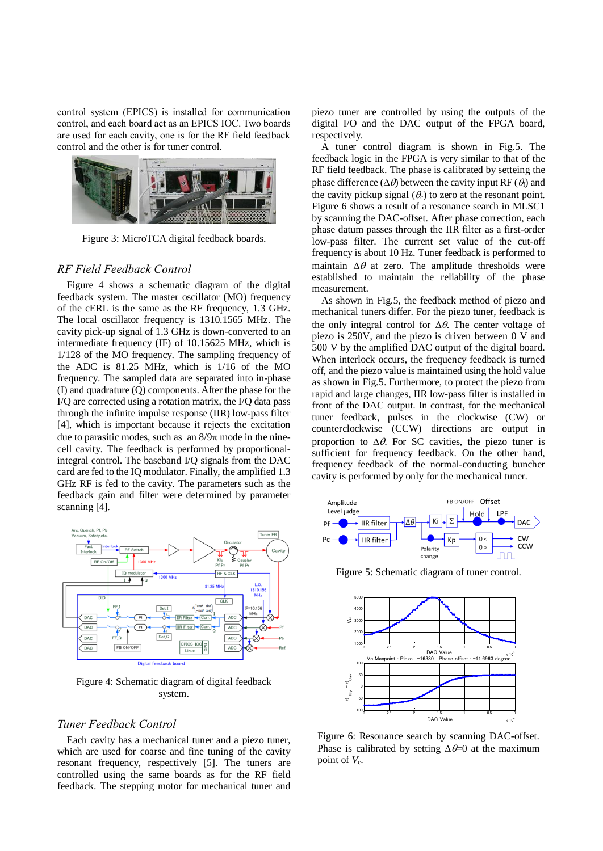control system (EPICS) is installed for communication control, and each board act as an EPICS IOC. Two boards are used for each cavity, one is for the RF field feedback control and the other is for tuner control.



Figure 3: MicroTCA digital feedback boards.

## *RF Field Feedback Control*

Figure 4 shows a schematic diagram of the digital feedback system. The master oscillator (MO) frequency of the cERL is the same as the RF frequency, 1.3 GHz. The local oscillator frequency is 1310.1565 MHz. The cavity pick-up signal of 1.3 GHz is down-converted to an intermediate frequency (IF) of 10.15625 MHz, which is 1/128 of the MO frequency. The sampling frequency of the ADC is 81.25 MHz, which is 1/16 of the MO frequency. The sampled data are separated into in-phase (I) and quadrature (Q) components. After the phase for the I/Q are corrected using a rotation matrix, the I/Q data pass through the infinite impulse response (IIR) low-pass filter [4], which is important because it rejects the excitation due to parasitic modes, such as an  $8/9\pi$  mode in the ninecell cavity. The feedback is performed by proportionalintegral control. The baseband I/Q signals from the DAC card are fed to the IQ modulator. Finally, the amplified 1.3 GHz RF is fed to the cavity. The parameters such as the feedback gain and filter were determined by parameter scanning [4].



Figure 4: Schematic diagram of digital feedback system.

#### *Tuner Feedback Control*

Each cavity has a mechanical tuner and a piezo tuner, which are used for coarse and fine tuning of the cavity resonant frequency, respectively [5]. The tuners are controlled using the same boards as for the RF field feedback. The stepping motor for mechanical tuner and piezo tuner are controlled by using the outputs of the digital I/O and the DAC output of the FPGA board, respectively.

A tuner control diagram is shown in Fig.5. The feedback logic in the FPGA is very similar to that of the RF field feedback. The phase is calibrated by setteing the phase difference ( $\Delta\theta$ ) between the cavity input RF ( $\theta$ <sub>f</sub>) and the cavity pickup signal  $(\theta_c)$  to zero at the resonant point. Figure 6 shows a result of a resonance search in MLSC1 by scanning the DAC-offset. After phase correction, each phase datum passes through the IIR filter as a first-order low-pass filter. The current set value of the cut-off frequency is about 10 Hz. Tuner feedback is performed to maintain  $\Delta\theta$  at zero. The amplitude thresholds were established to maintain the reliability of the phase measurement.

As shown in Fig.5, the feedback method of piezo and mechanical tuners differ. For the piezo tuner, feedback is the only integral control for  $\Delta\theta$ . The center voltage of piezo is 250V, and the piezo is driven between 0 V and 500 V by the amplified DAC output of the digital board. When interlock occurs, the frequency feedback is turned off, and the piezo value is maintained using the hold value as shown in Fig.5. Furthermore, to protect the piezo from rapid and large changes, IIR low-pass filter is installed in front of the DAC output. In contrast, for the mechanical tuner feedback, pulses in the clockwise (CW) or counterclockwise (CCW) directions are output in proportion to  $\Delta \theta$ . For SC cavities, the piezo tuner is sufficient for frequency feedback. On the other hand, frequency feedback of the normal-conducting buncher cavity is performed by only for the mechanical tuner.



Figure 5: Schematic diagram of tuner control.



Figure 6: Resonance search by scanning DAC-offset. Phase is calibrated by setting  $\Delta \theta = 0$  at the maximum point of  $V_c$ .